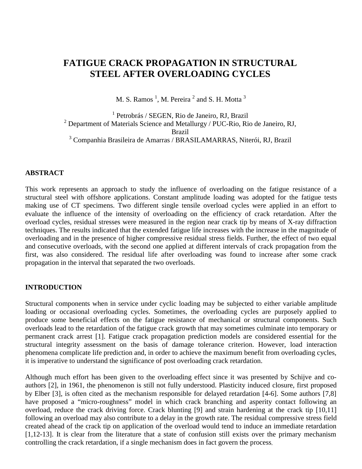# **FATIGUE CRACK PROPAGATION IN STRUCTURAL STEEL AFTER OVERLOADING CYCLES**

M. S. Ramos  $<sup>1</sup>$ , M. Pereira  $<sup>2</sup>$  and S. H. Motta  $<sup>3</sup>$ </sup></sup></sup>

1 Petrobrás / SEGEN, Rio de Janeiro, RJ, Brazil <sup>2</sup> Department of Materials Science and Metallurgy / PUC-Rio, Rio de Janeiro, RJ, Brazil <sup>3</sup> Companhia Brasileira de Amarras / BRASILAMARRAS, Niterói, RJ, Brazil

# **ABSTRACT**

This work represents an approach to study the influence of overloading on the fatigue resistance of a structural steel with offshore applications. Constant amplitude loading was adopted for the fatigue tests making use of CT specimens. Two different single tensile overload cycles were applied in an effort to evaluate the influence of the intensity of overloading on the efficiency of crack retardation. After the overload cycles, residual stresses were measured in the region near crack tip by means of X-ray diffraction techniques. The results indicated that the extended fatigue life increases with the increase in the magnitude of overloading and in the presence of higher compressive residual stress fields. Further, the effect of two equal and consecutive overloads, with the second one applied at different intervals of crack propagation from the first, was also considered. The residual life after overloading was found to increase after some crack propagation in the interval that separated the two overloads.

# **INTRODUCTION**

Structural components when in service under cyclic loading may be subjected to either variable amplitude loading or occasional overloading cycles. Sometimes, the overloading cycles are purposely applied to produce some beneficial effects on the fatigue resistance of mechanical or structural components. Such overloads lead to the retardation of the fatigue crack growth that may sometimes culminate into temporary or permanent crack arrest [1]. Fatigue crack propagation prediction models are considered essential for the structural integrity assessment on the basis of damage tolerance criterion. However, load interaction phenomena complicate life prediction and, in order to achieve the maximum benefit from overloading cycles, it is imperative to understand the significance of post overloading crack retardation.

Although much effort has been given to the overloading effect since it was presented by Schijve and coauthors [2], in 1961, the phenomenon is still not fully understood. Plasticity induced closure, first proposed by Elber [3], is often cited as the mechanism responsible for delayed retardation [4-6]. Some authors [7,8] have proposed a "micro-roughness" model in which crack branching and asperity contact following an overload, reduce the crack driving force. Crack blunting [9] and strain hardening at the crack tip [10,11] following an overload may also contribute to a delay in the growth rate. The residual compressive stress field created ahead of the crack tip on application of the overload would tend to induce an immediate retardation [1,12-13]. It is clear from the literature that a state of confusion still exists over the primary mechanism controlling the crack retardation, if a single mechanism does in fact govern the process.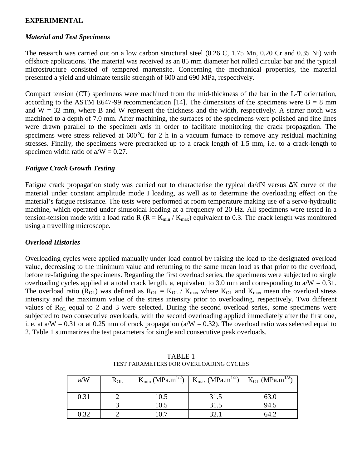# **EXPERIMENTAL**

### *Material and Test Specimens*

The research was carried out on a low carbon structural steel (0.26 C, 1.75 Mn, 0.20 Cr and 0.35 Ni) with offshore applications. The material was received as an 85 mm diameter hot rolled circular bar and the typical microstructure consisted of tempered martensite. Concerning the mechanical properties, the material presented a yield and ultimate tensile strength of 600 and 690 MPa, respectively.

Compact tension (CT) specimens were machined from the mid-thickness of the bar in the L-T orientation, according to the ASTM E647-99 recommendation [14]. The dimensions of the specimens were  $B = 8$  mm and  $W = 32$  mm, where B and W represent the thickness and the width, respectively. A starter notch was machined to a depth of 7.0 mm. After machining, the surfaces of the specimens were polished and fine lines were drawn parallel to the specimen axis in order to facilitate monitoring the crack propagation. The specimens were stress relieved at 600°C for 2 h in a vacuum furnace to remove any residual machining stresses. Finally, the specimens were precracked up to a crack length of 1.5 mm, i.e. to a crack-length to specimen width ratio of  $a/W = 0.27$ .

#### *Fatigue Crack Growth Testing*

Fatigue crack propagation study was carried out to characterise the typical da/dN versus ∆K curve of the material under constant amplitude mode I loading, as well as to determine the overloading effect on the material's fatigue resistance. The tests were performed at room temperature making use of a servo-hydraulic machine, which operated under sinusoidal loading at a frequency of 20 Hz. All specimens were tested in a tension-tension mode with a load ratio R ( $R = K_{min} / K_{max}$ ) equivalent to 0.3. The crack length was monitored using a travelling microscope.

## *Overload Histories*

Overloading cycles were applied manually under load control by raising the load to the designated overload value, decreasing to the minimum value and returning to the same mean load as that prior to the overload, before re-fatiguing the specimens. Regarding the first overload series, the specimens were subjected to single overloading cycles applied at a total crack length, a, equivalent to 3.0 mm and corresponding to  $a/W = 0.31$ . The overload ratio ( $R_{OL}$ ) was defined as  $R_{OL} = K_{OL} / K_{max}$  where  $K_{OL}$  and  $K_{max}$  mean the overload stress intensity and the maximum value of the stress intensity prior to overloading, respectively. Two different values of  $R_{OL}$  equal to 2 and 3 were selected. During the second overload series, some specimens were subjected to two consecutive overloads, with the second overloading applied immediately after the first one, i. e. at  $a/W = 0.31$  or at 0.25 mm of crack propagation ( $a/W = 0.32$ ). The overload ratio was selected equal to 2. Table 1 summarizes the test parameters for single and consecutive peak overloads.

| a/W  | $R_{OL}$ | $K_{min}$ (MPa.m <sup>1/2</sup> ) | $K_{\text{max}}$ (MPa.m <sup>1/2</sup> ) | $K_{OL}$ (MPa.m <sup>1/2</sup> ) |
|------|----------|-----------------------------------|------------------------------------------|----------------------------------|
| 0.31 |          | 10.5                              | 31.5                                     |                                  |
|      |          | 10.5                              |                                          | 94.5                             |
| በ 32 |          |                                   |                                          |                                  |

TABLE 1 TEST PARAMETERS FOR OVERLOADING CYCLES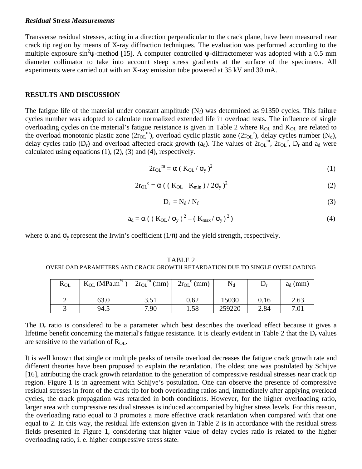#### *Residual Stress Measurements*

Transverse residual stresses, acting in a direction perpendicular to the crack plane, have been measured near crack tip region by means of X-ray diffraction techniques. The evaluation was performed according to the multiple exposure sin<sup>2</sup> $\psi$ -method [15]. A computer controlled  $\psi$ -diffractometer was adopted with a 0.5 mm diameter collimator to take into account steep stress gradients at the surface of the specimens. All experiments were carried out with an X-ray emission tube powered at 35 kV and 30 mA.

## **RESULTS AND DISCUSSION**

The fatigue life of the material under constant amplitude  $(N_f)$  was determined as 91350 cycles. This failure cycles number was adopted to calculate normalized extended life in overload tests. The influence of single overloading cycles on the material's fatigue resistance is given in Table 2 where  $R_{OL}$  and  $K_{OL}$  are related to the overload monotonic plastic zone  $(2r_{OL}^m)$ , overload cyclic plastic zone  $(2r_{OL}^c)$ , delay cycles number  $(N_d)$ , delay cycles ratio (D<sub>r</sub>) and overload affected crack growth (a<sub>d</sub>). The values of  $2r_{OL}$ <sup>m</sup>,  $2r_{OL}$ <sup>c</sup>, D<sub>r</sub> and a<sub>d</sub> were calculated using equations  $(1)$ ,  $(2)$ ,  $(3)$  and  $(4)$ , respectively.

$$
2r_{\text{OL}}^{m} = \alpha (K_{\text{OL}}/\sigma_{y})^{2}
$$
 (1)

$$
2r_{OL}^{\ c} = \alpha \left( \left( \left( \mathbf{K}_{OL} - \mathbf{K}_{min} \right) / 2\sigma_y \right)^2 \right) \tag{2}
$$

$$
D_{\rm r} = N_{\rm d} / N_{\rm f} \tag{3}
$$

$$
a_d = \alpha \left( \left( \left( \frac{K_{OL}}{\sigma_y} \right)^2 - \left( \left( \frac{K_{max}}{\sigma_y} \right)^2 \right)^2 \right) \right) \tag{4}
$$

where  $\alpha$  and  $\sigma_y$  represent the Irwin's coefficient (1/ $\pi$ ) and the yield strength, respectively.

TABLE 2 OVERLOAD PARAMETERS AND CRACK GROWTH RETARDATION DUE TO SINGLE OVERLOADING

| $R_{OL}$ | $K_{OL} (MPa.m^{\frac{1}{2}})$ | $2r_{OL}$ <sup>m</sup> (mm) | $2r_{OL}$ <sup>c</sup> (mm) | $\rm N_d$ | ע    | $a_d$ (mm) |
|----------|--------------------------------|-----------------------------|-----------------------------|-----------|------|------------|
|          | 63.0                           | 3.51                        | 0.62                        | 15030     | 0.16 | 2.63       |
|          | 94.5                           | 7.90                        | 1.58                        | 259220    | 2.84 | 7.01       |

The  $D_r$  ratio is considered to be a parameter which best describes the overload effect because it gives a lifetime benefit concerning the material's fatigue resistance. It is clearly evident in Table 2 that the  $D<sub>r</sub>$  values are sensitive to the variation of R<sub>OL</sub>.

It is well known that single or multiple peaks of tensile overload decreases the fatigue crack growth rate and different theories have been proposed to explain the retardation. The oldest one was postulated by Schijve [16], attributing the crack growth retardation to the generation of compressive residual stresses near crack tip region. Figure 1 is in agreement with Schijve's postulation. One can observe the presence of compressive residual stresses in front of the crack tip for both overloading ratios and, immediately after applying overload cycles, the crack propagation was retarded in both conditions. However, for the higher overloading ratio, larger area with compressive residual stresses is induced accompanied by higher stress levels. For this reason, the overloading ratio equal to 3 promotes a more effective crack retardation when compared with that one equal to 2. In this way, the residual life extension given in Table 2 is in accordance with the residual stress fields presented in Figure 1, considering that higher value of delay cycles ratio is related to the higher overloading ratio, i. e. higher compressive stress state.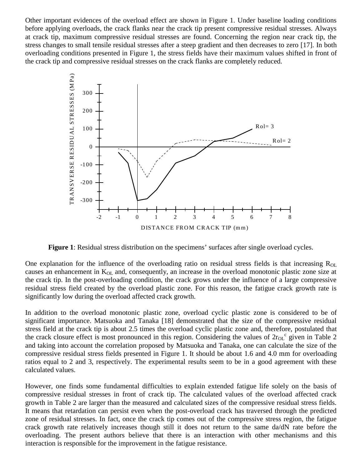Other important evidences of the overload effect are shown in Figure 1. Under baseline loading conditions before applying overloads, the crack flanks near the crack tip present compressive residual stresses. Always at crack tip, maximum compressive residual stresses are found. Concerning the region near crack tip, the stress changes to small tensile residual stresses after a steep gradient and then decreases to zero [17]. In both overloading conditions presented in Figure 1, the stress fields have their maximum values shifted in front of the crack tip and compressive residual stresses on the crack flanks are completely reduced.



**Figure 1**: Residual stress distribution on the specimens' surfaces after single overload cycles.

One explanation for the influence of the overloading ratio on residual stress fields is that increasing  $R_{OL}$ causes an enhancement in  $K<sub>OL</sub>$  and, consequently, an increase in the overload monotonic plastic zone size at the crack tip. In the post-overloading condition, the crack grows under the influence of a large compressive residual stress field created by the overload plastic zone. For this reason, the fatigue crack growth rate is significantly low during the overload affected crack growth.

In addition to the overload monotonic plastic zone, overload cyclic plastic zone is considered to be of significant importance. Matsuoka and Tanaka [18] demonstrated that the size of the compressive residual stress field at the crack tip is about 2.5 times the overload cyclic plastic zone and, therefore, postulated that the crack closure effect is most pronounced in this region. Considering the values of  $2r_{OL}^c$  given in Table 2 and taking into account the correlation proposed by Matsuoka and Tanaka, one can calculate the size of the compressive residual stress fields presented in Figure 1. It should be about 1.6 and 4.0 mm for overloading ratios equal to 2 and 3, respectively. The experimental results seem to be in a good agreement with these calculated values.

However, one finds some fundamental difficulties to explain extended fatigue life solely on the basis of compressive residual stresses in front of crack tip. The calculated values of the overload affected crack growth in Table 2 are larger than the measured and calculated sizes of the compressive residual stress fields. It means that retardation can persist even when the post-overload crack has traversed through the predicted zone of residual stresses. In fact, once the crack tip comes out of the compressive stress region, the fatigue crack growth rate relatively increases though still it does not return to the same da/dN rate before the overloading. The present authors believe that there is an interaction with other mechanisms and this interaction is responsible for the improvement in the fatigue resistance.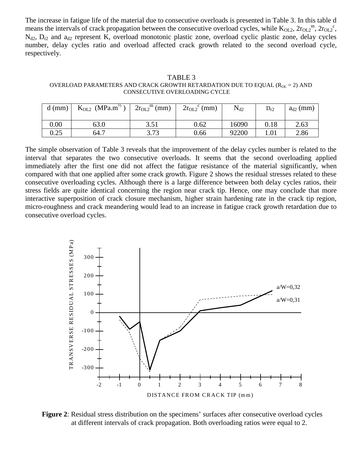The increase in fatigue life of the material due to consecutive overloads is presented in Table 3. In this table d means the intervals of crack propagation between the consecutive overload cycles, while  $K_{OL2}$ ,  $2r_{OL2}$ <sup>m</sup>,  $2r_{OL2}$ <sup>c</sup>,  $N_{d2}$ ,  $D_{r2}$  and  $a_{d2}$  represent K, overload monotonic plastic zone, overload cyclic plastic zone, delay cycles number, delay cycles ratio and overload affected crack growth related to the second overload cycle, respectively.

TABLE 3 OVERLOAD PARAMETERS AND CRACK GROWTH RETARDATION DUE TO EQUAL ( $R_{OL} = 2$ ) AND CONSECUTIVE OVERLOADING CYCLE

| $d$ (mm) | $K_{OL2}$ (MPa.m <sup>12</sup> ) | $\binom{m}{m}$<br>$2r_{OL2}$ | $2r_{OL2}^{\circ}$ (mm) | $N_{d2}$ | $\rm D_{r2}$ | $a_{d2}$ (mm) |
|----------|----------------------------------|------------------------------|-------------------------|----------|--------------|---------------|
| 0.00     | 63.0                             | 351<br>و ر.                  | 0.62                    | 16090    | 0.18         | 2.63          |
| 0.25     | 64.7                             | 3.73                         | 0.66                    | 92200    | 1.01         | 2.86          |

The simple observation of Table 3 reveals that the improvement of the delay cycles number is related to the interval that separates the two consecutive overloads. It seems that the second overloading applied immediately after the first one did not affect the fatigue resistance of the material significantly, when compared with that one applied after some crack growth. Figure 2 shows the residual stresses related to these consecutive overloading cycles. Although there is a large difference between both delay cycles ratios, their stress fields are quite identical concerning the region near crack tip. Hence, one may conclude that more interactive superposition of crack closure mechanism, higher strain hardening rate in the crack tip region, micro-roughness and crack meandering would lead to an increase in fatigue crack growth retardation due to consecutive overload cycles.



**Figure 2**: Residual stress distribution on the specimens' surfaces after consecutive overload cycles at different intervals of crack propagation. Both overloading ratios were equal to 2.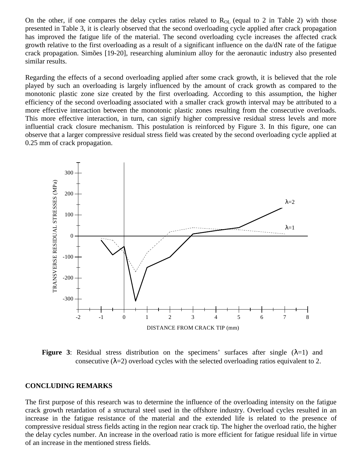On the other, if one compares the delay cycles ratios related to  $R_{\text{OL}}$  (equal to 2 in Table 2) with those presented in Table 3, it is clearly observed that the second overloading cycle applied after crack propagation has improved the fatigue life of the material. The second overloading cycle increases the affected crack growth relative to the first overloading as a result of a significant influence on the da/dN rate of the fatigue crack propagation. Simões [19-20], researching aluminium alloy for the aeronautic industry also presented similar results.

Regarding the effects of a second overloading applied after some crack growth, it is believed that the role played by such an overloading is largely influenced by the amount of crack growth as compared to the monotonic plastic zone size created by the first overloading. According to this assumption, the higher efficiency of the second overloading associated with a smaller crack growth interval may be attributed to a more effective interaction between the monotonic plastic zones resulting from the consecutive overloads. This more effective interaction, in turn, can signify higher compressive residual stress levels and more influential crack closure mechanism. This postulation is reinforced by Figure 3. In this figure, one can observe that a larger compressive residual stress field was created by the second overloading cycle applied at 0.25 mm of crack propagation.



**Figure 3**: Residual stress distribution on the specimens' surfaces after single  $(\lambda=1)$  and consecutive ( $\lambda$ =2) overload cycles with the selected overloading ratios equivalent to 2.

#### **CONCLUDING REMARKS**

The first purpose of this research was to determine the influence of the overloading intensity on the fatigue crack growth retardation of a structural steel used in the offshore industry. Overload cycles resulted in an increase in the fatigue resistance of the material and the extended life is related to the presence of compressive residual stress fields acting in the region near crack tip. The higher the overload ratio, the higher the delay cycles number. An increase in the overload ratio is more efficient for fatigue residual life in virtue of an increase in the mentioned stress fields.